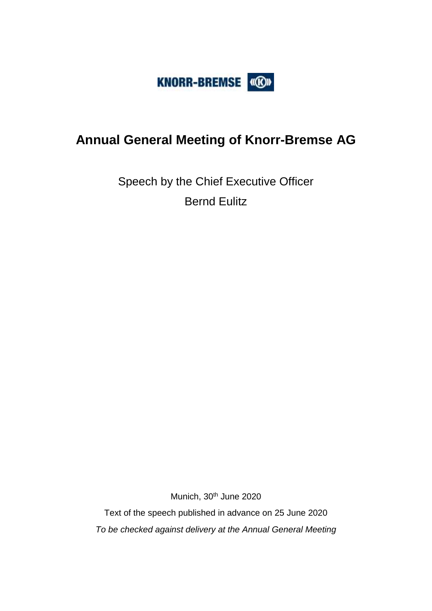

# **Annual General Meeting of Knorr-Bremse AG**

Speech by the Chief Executive Officer Bernd Eulitz

Munich, 30<sup>th</sup> June 2020

Text of the speech published in advance on 25 June 2020 *To be checked against delivery at the Annual General Meeting*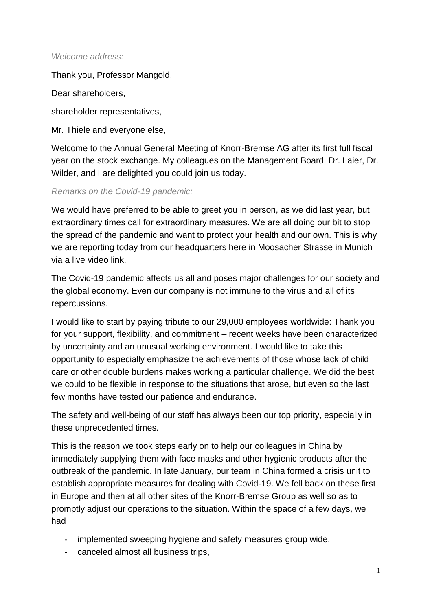#### *Welcome address:*

Thank you, Professor Mangold.

Dear shareholders,

shareholder representatives,

Mr. Thiele and everyone else,

Welcome to the Annual General Meeting of Knorr-Bremse AG after its first full fiscal year on the stock exchange. My colleagues on the Management Board, Dr. Laier, Dr. Wilder, and I are delighted you could join us today.

## *Remarks on the Covid-19 pandemic:*

We would have preferred to be able to greet you in person, as we did last year, but extraordinary times call for extraordinary measures. We are all doing our bit to stop the spread of the pandemic and want to protect your health and our own. This is why we are reporting today from our headquarters here in Moosacher Strasse in Munich via a live video link.

The Covid-19 pandemic affects us all and poses major challenges for our society and the global economy. Even our company is not immune to the virus and all of its repercussions.

I would like to start by paying tribute to our 29,000 employees worldwide: Thank you for your support, flexibility, and commitment – recent weeks have been characterized by uncertainty and an unusual working environment. I would like to take this opportunity to especially emphasize the achievements of those whose lack of child care or other double burdens makes working a particular challenge. We did the best we could to be flexible in response to the situations that arose, but even so the last few months have tested our patience and endurance.

The safety and well-being of our staff has always been our top priority, especially in these unprecedented times.

This is the reason we took steps early on to help our colleagues in China by immediately supplying them with face masks and other hygienic products after the outbreak of the pandemic. In late January, our team in China formed a crisis unit to establish appropriate measures for dealing with Covid-19. We fell back on these first in Europe and then at all other sites of the Knorr-Bremse Group as well so as to promptly adjust our operations to the situation. Within the space of a few days, we had

- implemented sweeping hygiene and safety measures group wide,
- canceled almost all business trips,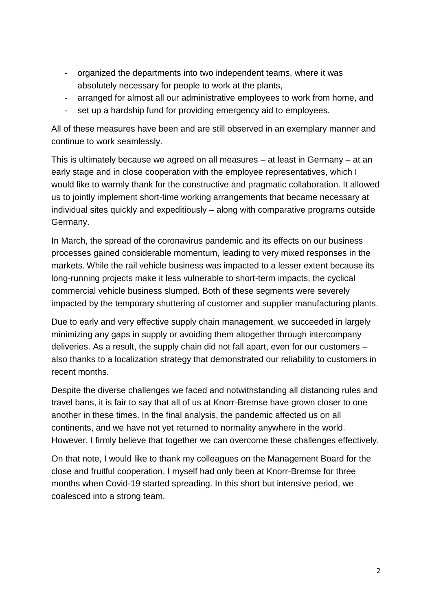- organized the departments into two independent teams, where it was absolutely necessary for people to work at the plants,
- arranged for almost all our administrative employees to work from home, and
- set up a hardship fund for providing emergency aid to employees.

All of these measures have been and are still observed in an exemplary manner and continue to work seamlessly.

This is ultimately because we agreed on all measures – at least in Germany – at an early stage and in close cooperation with the employee representatives, which I would like to warmly thank for the constructive and pragmatic collaboration. It allowed us to jointly implement short-time working arrangements that became necessary at individual sites quickly and expeditiously – along with comparative programs outside Germany.

In March, the spread of the coronavirus pandemic and its effects on our business processes gained considerable momentum, leading to very mixed responses in the markets. While the rail vehicle business was impacted to a lesser extent because its long-running projects make it less vulnerable to short-term impacts, the cyclical commercial vehicle business slumped. Both of these segments were severely impacted by the temporary shuttering of customer and supplier manufacturing plants.

Due to early and very effective supply chain management, we succeeded in largely minimizing any gaps in supply or avoiding them altogether through intercompany deliveries. As a result, the supply chain did not fall apart, even for our customers – also thanks to a localization strategy that demonstrated our reliability to customers in recent months.

Despite the diverse challenges we faced and notwithstanding all distancing rules and travel bans, it is fair to say that all of us at Knorr-Bremse have grown closer to one another in these times. In the final analysis, the pandemic affected us on all continents, and we have not yet returned to normality anywhere in the world. However, I firmly believe that together we can overcome these challenges effectively.

On that note, I would like to thank my colleagues on the Management Board for the close and fruitful cooperation. I myself had only been at Knorr-Bremse for three months when Covid-19 started spreading. In this short but intensive period, we coalesced into a strong team.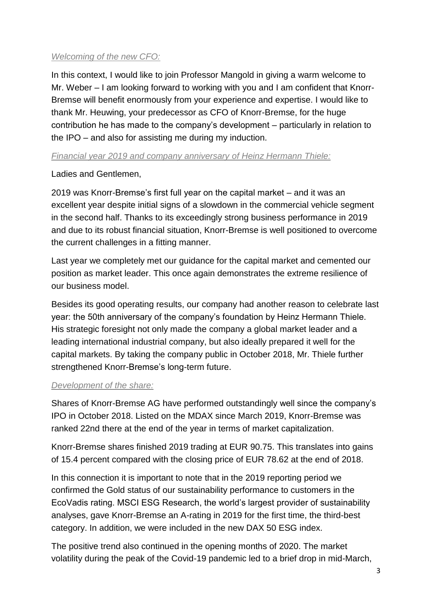## *Welcoming of the new CFO:*

In this context, I would like to join Professor Mangold in giving a warm welcome to Mr. Weber – I am looking forward to working with you and I am confident that Knorr-Bremse will benefit enormously from your experience and expertise. I would like to thank Mr. Heuwing, your predecessor as CFO of Knorr-Bremse, for the huge contribution he has made to the company's development – particularly in relation to the IPO – and also for assisting me during my induction.

## *Financial year 2019 and company anniversary of Heinz Hermann Thiele:*

## Ladies and Gentlemen,

2019 was Knorr-Bremse's first full year on the capital market – and it was an excellent year despite initial signs of a slowdown in the commercial vehicle segment in the second half. Thanks to its exceedingly strong business performance in 2019 and due to its robust financial situation, Knorr-Bremse is well positioned to overcome the current challenges in a fitting manner.

Last year we completely met our guidance for the capital market and cemented our position as market leader. This once again demonstrates the extreme resilience of our business model.

Besides its good operating results, our company had another reason to celebrate last year: the 50th anniversary of the company's foundation by Heinz Hermann Thiele. His strategic foresight not only made the company a global market leader and a leading international industrial company, but also ideally prepared it well for the capital markets. By taking the company public in October 2018, Mr. Thiele further strengthened Knorr-Bremse's long-term future.

## *Development of the share:*

Shares of Knorr-Bremse AG have performed outstandingly well since the company's IPO in October 2018. Listed on the MDAX since March 2019, Knorr-Bremse was ranked 22nd there at the end of the year in terms of market capitalization.

Knorr-Bremse shares finished 2019 trading at EUR 90.75. This translates into gains of 15.4 percent compared with the closing price of EUR 78.62 at the end of 2018.

In this connection it is important to note that in the 2019 reporting period we confirmed the Gold status of our sustainability performance to customers in the EcoVadis rating. MSCI ESG Research, the world's largest provider of sustainability analyses, gave Knorr-Bremse an A-rating in 2019 for the first time, the third-best category. In addition, we were included in the new DAX 50 ESG index.

The positive trend also continued in the opening months of 2020. The market volatility during the peak of the Covid-19 pandemic led to a brief drop in mid-March,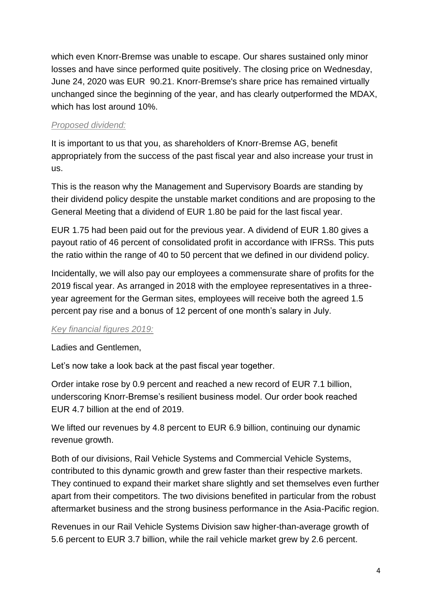which even Knorr-Bremse was unable to escape. Our shares sustained only minor losses and have since performed quite positively. The closing price on Wednesday, June 24, 2020 was EUR 90.21. Knorr-Bremse's share price has remained virtually unchanged since the beginning of the year, and has clearly outperformed the MDAX, which has lost around 10%.

## *Proposed dividend:*

It is important to us that you, as shareholders of Knorr-Bremse AG, benefit appropriately from the success of the past fiscal year and also increase your trust in us.

This is the reason why the Management and Supervisory Boards are standing by their dividend policy despite the unstable market conditions and are proposing to the General Meeting that a dividend of EUR 1.80 be paid for the last fiscal year.

EUR 1.75 had been paid out for the previous year. A dividend of EUR 1.80 gives a payout ratio of 46 percent of consolidated profit in accordance with IFRSs. This puts the ratio within the range of 40 to 50 percent that we defined in our dividend policy.

Incidentally, we will also pay our employees a commensurate share of profits for the 2019 fiscal year. As arranged in 2018 with the employee representatives in a threeyear agreement for the German sites, employees will receive both the agreed 1.5 percent pay rise and a bonus of 12 percent of one month's salary in July.

# *Key financial figures 2019:*

Ladies and Gentlemen,

Let's now take a look back at the past fiscal year together.

Order intake rose by 0.9 percent and reached a new record of EUR 7.1 billion, underscoring Knorr-Bremse's resilient business model. Our order book reached EUR 4.7 billion at the end of 2019.

We lifted our revenues by 4.8 percent to EUR 6.9 billion, continuing our dynamic revenue growth.

Both of our divisions, Rail Vehicle Systems and Commercial Vehicle Systems, contributed to this dynamic growth and grew faster than their respective markets. They continued to expand their market share slightly and set themselves even further apart from their competitors. The two divisions benefited in particular from the robust aftermarket business and the strong business performance in the Asia-Pacific region.

Revenues in our Rail Vehicle Systems Division saw higher-than-average growth of 5.6 percent to EUR 3.7 billion, while the rail vehicle market grew by 2.6 percent.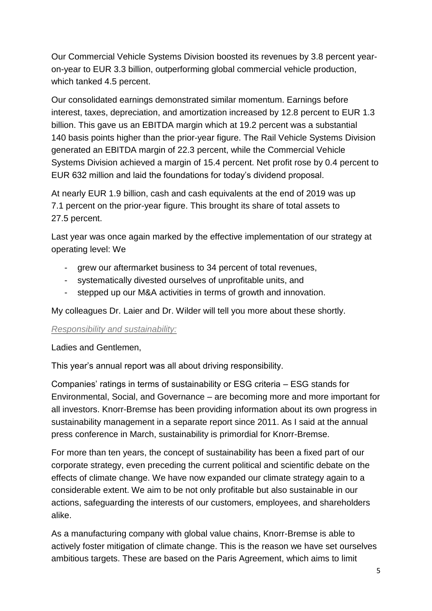Our Commercial Vehicle Systems Division boosted its revenues by 3.8 percent yearon-year to EUR 3.3 billion, outperforming global commercial vehicle production, which tanked 4.5 percent.

Our consolidated earnings demonstrated similar momentum. Earnings before interest, taxes, depreciation, and amortization increased by 12.8 percent to EUR 1.3 billion. This gave us an EBITDA margin which at 19.2 percent was a substantial 140 basis points higher than the prior-year figure. The Rail Vehicle Systems Division generated an EBITDA margin of 22.3 percent, while the Commercial Vehicle Systems Division achieved a margin of 15.4 percent. Net profit rose by 0.4 percent to EUR 632 million and laid the foundations for today's dividend proposal.

At nearly EUR 1.9 billion, cash and cash equivalents at the end of 2019 was up 7.1 percent on the prior-year figure. This brought its share of total assets to 27.5 percent.

Last year was once again marked by the effective implementation of our strategy at operating level: We

- grew our aftermarket business to 34 percent of total revenues,
- systematically divested ourselves of unprofitable units, and
- stepped up our M&A activities in terms of growth and innovation.

My colleagues Dr. Laier and Dr. Wilder will tell you more about these shortly.

## *Responsibility and sustainability:*

Ladies and Gentlemen,

This year's annual report was all about driving responsibility.

Companies' ratings in terms of sustainability or ESG criteria – ESG stands for Environmental, Social, and Governance – are becoming more and more important for all investors. Knorr-Bremse has been providing information about its own progress in sustainability management in a separate report since 2011. As I said at the annual press conference in March, sustainability is primordial for Knorr-Bremse.

For more than ten years, the concept of sustainability has been a fixed part of our corporate strategy, even preceding the current political and scientific debate on the effects of climate change. We have now expanded our climate strategy again to a considerable extent. We aim to be not only profitable but also sustainable in our actions, safeguarding the interests of our customers, employees, and shareholders alike.

As a manufacturing company with global value chains, Knorr-Bremse is able to actively foster mitigation of climate change. This is the reason we have set ourselves ambitious targets. These are based on the Paris Agreement, which aims to limit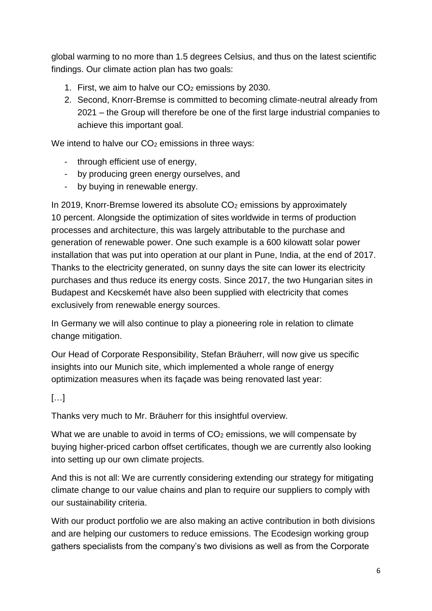global warming to no more than 1.5 degrees Celsius, and thus on the latest scientific findings. Our climate action plan has two goals:

- 1. First, we aim to halve our  $CO<sub>2</sub>$  emissions by 2030.
- 2. Second, Knorr-Bremse is committed to becoming climate-neutral already from 2021 – the Group will therefore be one of the first large industrial companies to achieve this important goal.

We intend to halve our CO<sub>2</sub> emissions in three ways:

- through efficient use of energy,
- by producing green energy ourselves, and
- by buying in renewable energy.

In 2019, Knorr-Bremse lowered its absolute CO<sub>2</sub> emissions by approximately 10 percent. Alongside the optimization of sites worldwide in terms of production processes and architecture, this was largely attributable to the purchase and generation of renewable power. One such example is a 600 kilowatt solar power installation that was put into operation at our plant in Pune, India, at the end of 2017. Thanks to the electricity generated, on sunny days the site can lower its electricity purchases and thus reduce its energy costs. Since 2017, the two Hungarian sites in Budapest and Kecskemét have also been supplied with electricity that comes exclusively from renewable energy sources.

In Germany we will also continue to play a pioneering role in relation to climate change mitigation.

Our Head of Corporate Responsibility, Stefan Bräuherr, will now give us specific insights into our Munich site, which implemented a whole range of energy optimization measures when its façade was being renovated last year:

# […]

Thanks very much to Mr. Bräuherr for this insightful overview.

What we are unable to avoid in terms of CO<sub>2</sub> emissions, we will compensate by buying higher-priced carbon offset certificates, though we are currently also looking into setting up our own climate projects.

And this is not all: We are currently considering extending our strategy for mitigating climate change to our value chains and plan to require our suppliers to comply with our sustainability criteria.

With our product portfolio we are also making an active contribution in both divisions and are helping our customers to reduce emissions. The Ecodesign working group gathers specialists from the company's two divisions as well as from the Corporate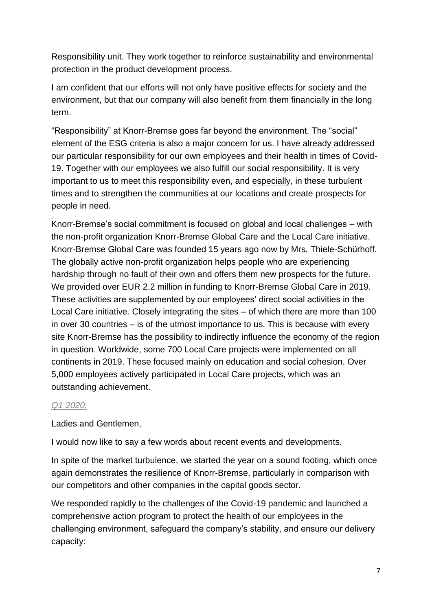Responsibility unit. They work together to reinforce sustainability and environmental protection in the product development process.

I am confident that our efforts will not only have positive effects for society and the environment, but that our company will also benefit from them financially in the long term.

"Responsibility" at Knorr-Bremse goes far beyond the environment. The "social" element of the ESG criteria is also a major concern for us. I have already addressed our particular responsibility for our own employees and their health in times of Covid-19. Together with our employees we also fulfill our social responsibility. It is very important to us to meet this responsibility even, and especially, in these turbulent times and to strengthen the communities at our locations and create prospects for people in need.

Knorr-Bremse's social commitment is focused on global and local challenges – with the non-profit organization Knorr-Bremse Global Care and the Local Care initiative. Knorr-Bremse Global Care was founded 15 years ago now by Mrs. Thiele-Schürhoff. The globally active non-profit organization helps people who are experiencing hardship through no fault of their own and offers them new prospects for the future. We provided over EUR 2.2 million in funding to Knorr-Bremse Global Care in 2019. These activities are supplemented by our employees' direct social activities in the Local Care initiative. Closely integrating the sites – of which there are more than 100 in over 30 countries – is of the utmost importance to us. This is because with every site Knorr-Bremse has the possibility to indirectly influence the economy of the region in question. Worldwide, some 700 Local Care projects were implemented on all continents in 2019. These focused mainly on education and social cohesion. Over 5,000 employees actively participated in Local Care projects, which was an outstanding achievement.

## *Q1 2020:*

Ladies and Gentlemen,

I would now like to say a few words about recent events and developments.

In spite of the market turbulence, we started the year on a sound footing, which once again demonstrates the resilience of Knorr-Bremse, particularly in comparison with our competitors and other companies in the capital goods sector.

We responded rapidly to the challenges of the Covid-19 pandemic and launched a comprehensive action program to protect the health of our employees in the challenging environment, safeguard the company's stability, and ensure our delivery capacity: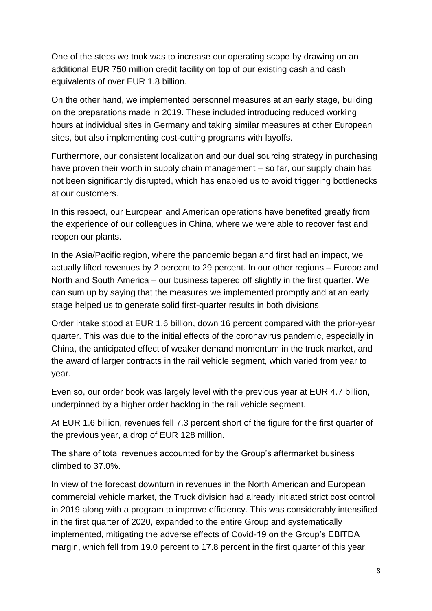One of the steps we took was to increase our operating scope by drawing on an additional EUR 750 million credit facility on top of our existing cash and cash equivalents of over EUR 1.8 billion.

On the other hand, we implemented personnel measures at an early stage, building on the preparations made in 2019. These included introducing reduced working hours at individual sites in Germany and taking similar measures at other European sites, but also implementing cost-cutting programs with layoffs.

Furthermore, our consistent localization and our dual sourcing strategy in purchasing have proven their worth in supply chain management – so far, our supply chain has not been significantly disrupted, which has enabled us to avoid triggering bottlenecks at our customers.

In this respect, our European and American operations have benefited greatly from the experience of our colleagues in China, where we were able to recover fast and reopen our plants.

In the Asia/Pacific region, where the pandemic began and first had an impact, we actually lifted revenues by 2 percent to 29 percent. In our other regions – Europe and North and South America – our business tapered off slightly in the first quarter. We can sum up by saying that the measures we implemented promptly and at an early stage helped us to generate solid first-quarter results in both divisions.

Order intake stood at EUR 1.6 billion, down 16 percent compared with the prior-year quarter. This was due to the initial effects of the coronavirus pandemic, especially in China, the anticipated effect of weaker demand momentum in the truck market, and the award of larger contracts in the rail vehicle segment, which varied from year to year.

Even so, our order book was largely level with the previous year at EUR 4.7 billion, underpinned by a higher order backlog in the rail vehicle segment.

At EUR 1.6 billion, revenues fell 7.3 percent short of the figure for the first quarter of the previous year, a drop of EUR 128 million.

The share of total revenues accounted for by the Group's aftermarket business climbed to 37.0%.

In view of the forecast downturn in revenues in the North American and European commercial vehicle market, the Truck division had already initiated strict cost control in 2019 along with a program to improve efficiency. This was considerably intensified in the first quarter of 2020, expanded to the entire Group and systematically implemented, mitigating the adverse effects of Covid-19 on the Group's EBITDA margin, which fell from 19.0 percent to 17.8 percent in the first quarter of this year.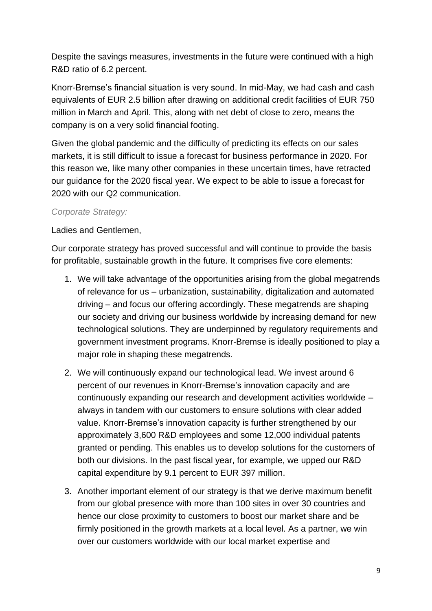Despite the savings measures, investments in the future were continued with a high R&D ratio of 6.2 percent.

Knorr-Bremse's financial situation is very sound. In mid-May, we had cash and cash equivalents of EUR 2.5 billion after drawing on additional credit facilities of EUR 750 million in March and April. This, along with net debt of close to zero, means the company is on a very solid financial footing.

Given the global pandemic and the difficulty of predicting its effects on our sales markets, it is still difficult to issue a forecast for business performance in 2020. For this reason we, like many other companies in these uncertain times, have retracted our guidance for the 2020 fiscal year. We expect to be able to issue a forecast for 2020 with our Q2 communication.

## *Corporate Strategy:*

Ladies and Gentlemen,

Our corporate strategy has proved successful and will continue to provide the basis for profitable, sustainable growth in the future. It comprises five core elements:

- 1. We will take advantage of the opportunities arising from the global megatrends of relevance for us – urbanization, sustainability, digitalization and automated driving – and focus our offering accordingly. These megatrends are shaping our society and driving our business worldwide by increasing demand for new technological solutions. They are underpinned by regulatory requirements and government investment programs. Knorr-Bremse is ideally positioned to play a major role in shaping these megatrends.
- 2. We will continuously expand our technological lead. We invest around 6 percent of our revenues in Knorr-Bremse's innovation capacity and are continuously expanding our research and development activities worldwide – always in tandem with our customers to ensure solutions with clear added value. Knorr-Bremse's innovation capacity is further strengthened by our approximately 3,600 R&D employees and some 12,000 individual patents granted or pending. This enables us to develop solutions for the customers of both our divisions. In the past fiscal year, for example, we upped our R&D capital expenditure by 9.1 percent to EUR 397 million.
- 3. Another important element of our strategy is that we derive maximum benefit from our global presence with more than 100 sites in over 30 countries and hence our close proximity to customers to boost our market share and be firmly positioned in the growth markets at a local level. As a partner, we win over our customers worldwide with our local market expertise and